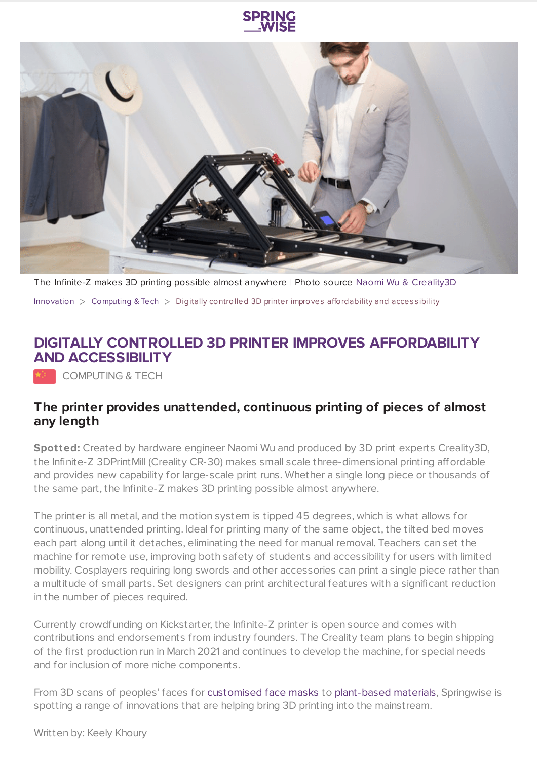



The Infinite-Z makes 3D printing possible almost anywhere | Photo source Naomi Wu & [Creality3D](https://www.kickstarter.com/projects/3dprintmill/creality-infinite-z-axis-build-volume-printer-3dprintmill?ref=ksr_email_newsletter_invent) [Innovation](https://www.springwise.com/search?type=innovation)  $>$  [Computing](https://www.springwise.com/search?type=innovation§or=computing) & Tech  $>$  Digitally controlled 3D printer improves affordability and accessibility

## **DIGITALLY CONTROLLED 3D PRINTER IMPROVES AFFORDABILITY AND ACCESSIBILITY**

COMPUTING & TECH

## **The printer provides unattended, continuous printing of pieces of almost any length**

**Spotted:** Created by hardware engineer Naomi Wu and produced by 3D print experts Creality3D, the Infinite-Z 3DPrintMill (Creality CR-30) makes small scale three-dimensional printing affordable and provides new capability for large-scale print runs. Whether a single long piece or thousands of the same part, the Infinite-Z makes 3D printing possible almost anywhere.

The printer is all metal, and the motion system is tipped 45 degrees, which is what allows for continuous, unattended printing. Ideal for printing many of the same object, the tilted bed moves each part along until it detaches, eliminating the need for manual removal. Teachers can set the machine for remote use, improving both safety of students and accessibility for users with limited mobility. Cosplayers requiring long swords and other accessories can print a single piece rather than a multitude of small parts. Set designers can print architectural features with a significant reduction in the number of pieces required.

Currently crowdfunding on Kickstarter, the Infinite-Z printer is open source and comes with contributions and endorsements from industry founders. The Creality team plans to begin shipping of the first production run in March 2021 and continues to develop the machine, for special needs and for inclusion of more niche components.

From 3D scans of peoples' faces for [customised](https://www.springwise.com/sustainability-innovation/health-wellbeing/m-101-modular-mask-covid) face masks to [plant-based](https://www.springwise.com/sustainability-innovation/fashion-beauty/rolf-3d-printed-glasses-plant-based-design) materials, Springwise is spotting a range of innovations that are helping bring 3D printing into the mainstream.